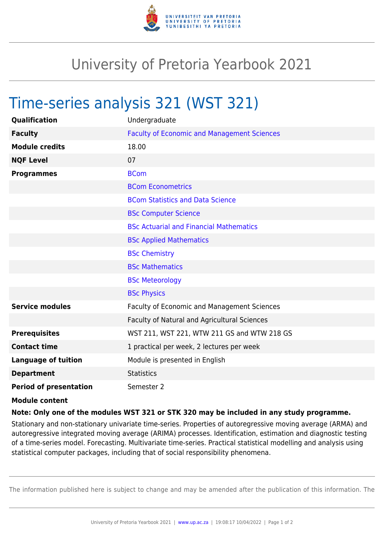

## University of Pretoria Yearbook 2021

## Time-series analysis 321 (WST 321)

| Qualification                 | Undergraduate                                      |
|-------------------------------|----------------------------------------------------|
| <b>Faculty</b>                | <b>Faculty of Economic and Management Sciences</b> |
| <b>Module credits</b>         | 18.00                                              |
| <b>NQF Level</b>              | 07                                                 |
| <b>Programmes</b>             | <b>BCom</b>                                        |
|                               | <b>BCom Econometrics</b>                           |
|                               | <b>BCom Statistics and Data Science</b>            |
|                               | <b>BSc Computer Science</b>                        |
|                               | <b>BSc Actuarial and Financial Mathematics</b>     |
|                               | <b>BSc Applied Mathematics</b>                     |
|                               | <b>BSc Chemistry</b>                               |
|                               | <b>BSc Mathematics</b>                             |
|                               | <b>BSc Meteorology</b>                             |
|                               | <b>BSc Physics</b>                                 |
| <b>Service modules</b>        | Faculty of Economic and Management Sciences        |
|                               | Faculty of Natural and Agricultural Sciences       |
| <b>Prerequisites</b>          | WST 211, WST 221, WTW 211 GS and WTW 218 GS        |
| <b>Contact time</b>           | 1 practical per week, 2 lectures per week          |
| <b>Language of tuition</b>    | Module is presented in English                     |
| <b>Department</b>             | <b>Statistics</b>                                  |
| <b>Period of presentation</b> | Semester 2                                         |

## **Module content**

## **Note: Only one of the modules WST 321 or STK 320 may be included in any study programme.**

Stationary and non-stationary univariate time-series. Properties of autoregressive moving average (ARMA) and autoregressive integrated moving average (ARIMA) processes. Identification, estimation and diagnostic testing of a time-series model. Forecasting. Multivariate time-series. Practical statistical modelling and analysis using statistical computer packages, including that of social responsibility phenomena.

The information published here is subject to change and may be amended after the publication of this information. The